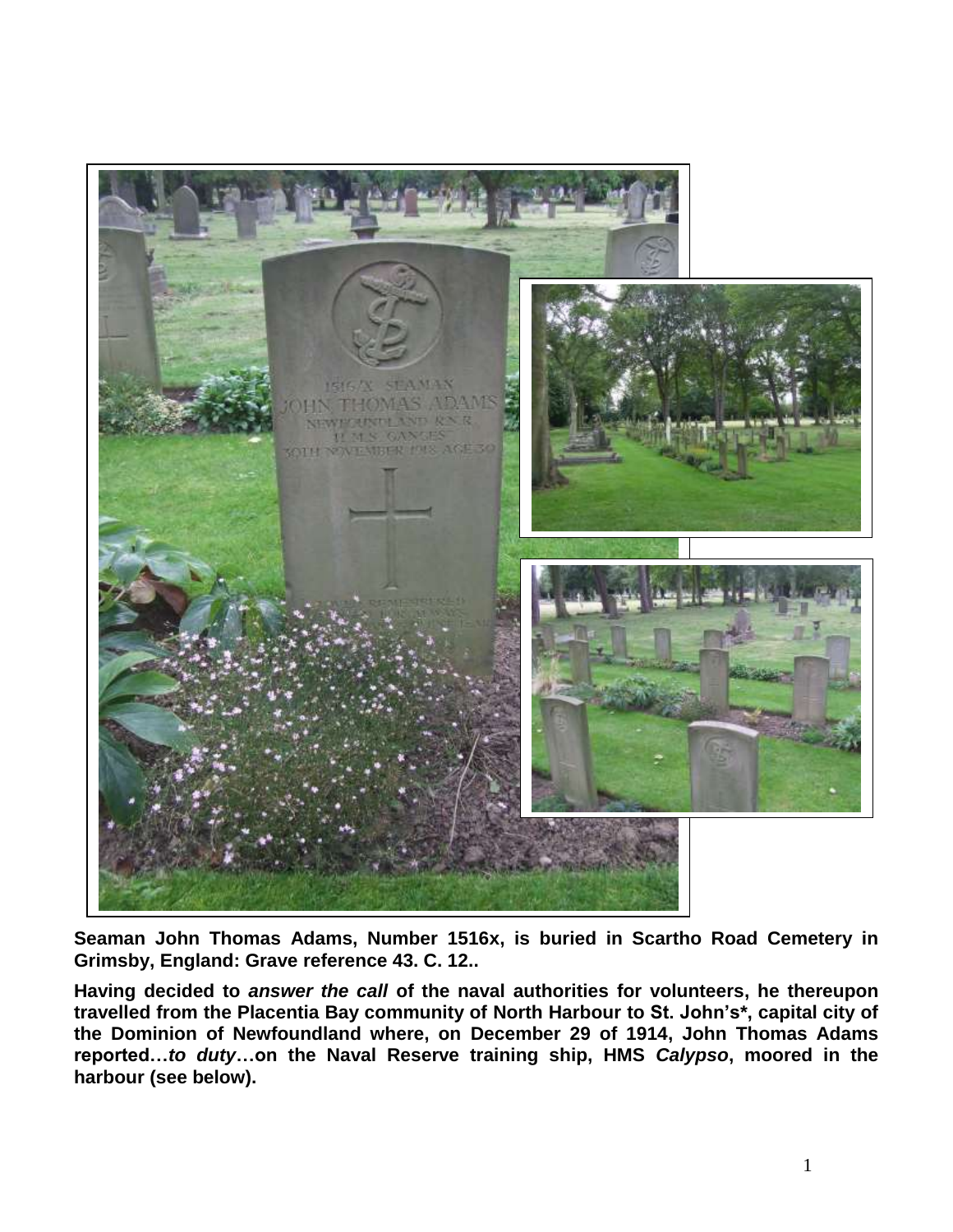

**Seaman John Thomas Adams, Number 1516x, is buried in Scartho Road Cemetery in Grimsby, England: Grave reference 43. C. 12..**

**Having decided to** *answer the call* **of the naval authorities for volunteers, he thereupon travelled from the Placentia Bay community of North Harbour to St. John's\*, capital city of the Dominion of Newfoundland where, on December 29 of 1914, John Thomas Adams reported…***to duty***…on the Naval Reserve training ship, HMS** *Calypso***, moored in the harbour (see below).**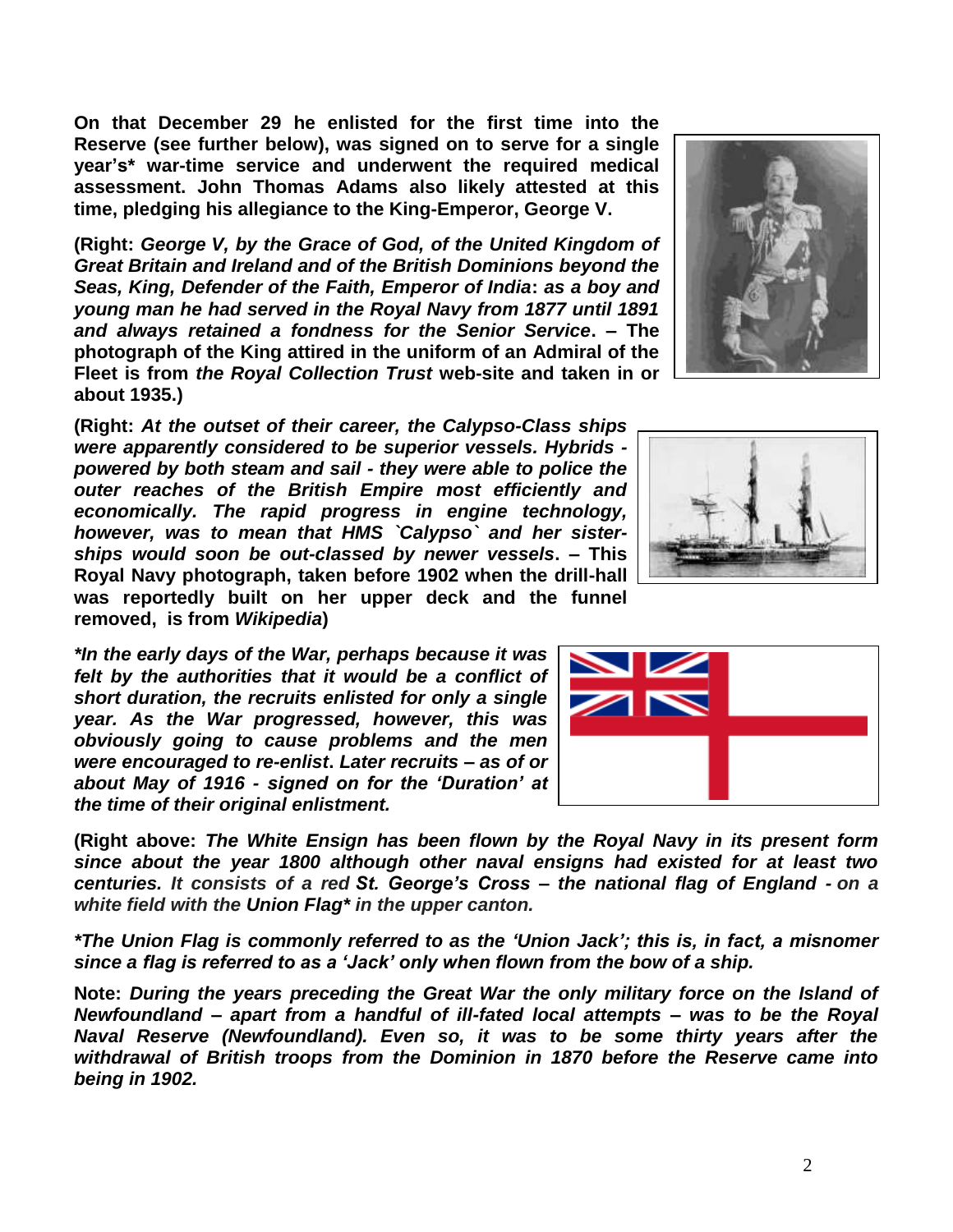**On that December 29 he enlisted for the first time into the Reserve (see further below), was signed on to serve for a single year's\* war-time service and underwent the required medical assessment. John Thomas Adams also likely attested at this time, pledging his allegiance to the King-Emperor, George V.**

**(Right:** *George V, by the Grace of God, of the United Kingdom of Great Britain and Ireland and of the British Dominions beyond the Seas, King, Defender of the Faith, Emperor of India***:** *as a boy and young man he had served in the Royal Navy from 1877 until 1891 and always retained a fondness for the Senior Service***. – The photograph of the King attired in the uniform of an Admiral of the Fleet is from** *the Royal Collection Trust* **web-site and taken in or about 1935.)**

**(Right:** *At the outset of their career, the Calypso-Class ships were apparently considered to be superior vessels. Hybrids powered by both steam and sail - they were able to police the outer reaches of the British Empire most efficiently and economically. The rapid progress in engine technology, however, was to mean that HMS `Calypso` and her sisterships would soon be out-classed by newer vessels***. – This Royal Navy photograph, taken before 1902 when the drill-hall was reportedly built on her upper deck and the funnel removed, is from** *Wikipedia***)**

*\*In the early days of the War, perhaps because it was felt by the authorities that it would be a conflict of short duration, the recruits enlisted for only a single year. As the War progressed, however, this was obviously going to cause problems and the men were encouraged to re-enlist***.** *Later recruits – as of or about May of 1916 - signed on for the 'Duration' at the time of their original enlistment.*

**(Right above:** *The White Ensign has been flown by the Royal Navy in its present form since about the year 1800 although other naval ensigns had existed for at least two centuries. It consists of a red St. George's Cross – the national flag of England - on a white field with the Union Flag\* in the upper canton.*

*\*The Union Flag is commonly referred to as the 'Union Jack'; this is, in fact, a misnomer since a flag is referred to as a 'Jack' only when flown from the bow of a ship.*

**Note:** *During the years preceding the Great War the only military force on the Island of Newfoundland – apart from a handful of ill-fated local attempts – was to be the Royal Naval Reserve (Newfoundland). Even so, it was to be some thirty years after the withdrawal of British troops from the Dominion in 1870 before the Reserve came into being in 1902.* 





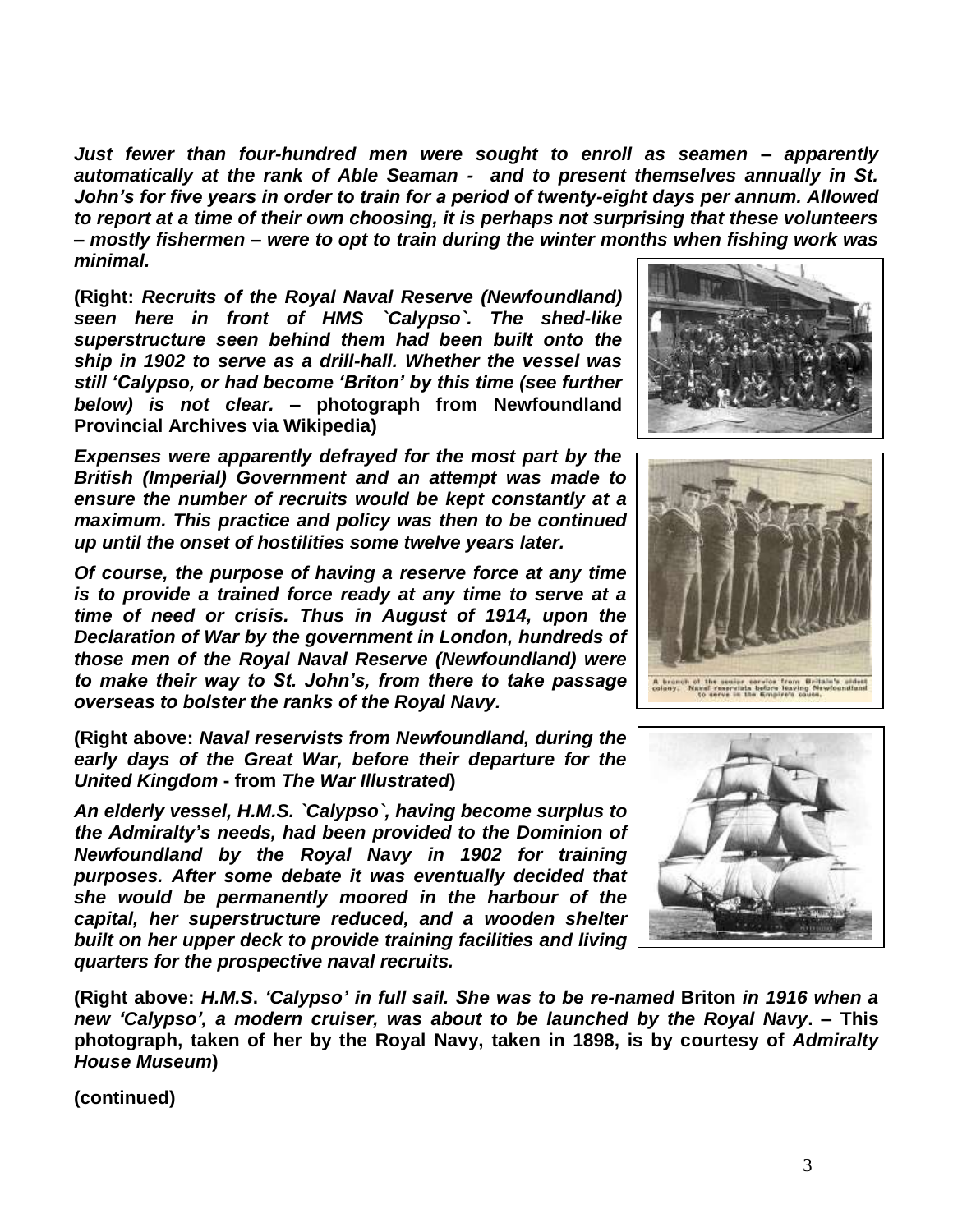*Just fewer than four-hundred men were sought to enroll as seamen – apparently automatically at the rank of Able Seaman - and to present themselves annually in St. John's for five years in order to train for a period of twenty-eight days per annum. Allowed to report at a time of their own choosing, it is perhaps not surprising that these volunteers – mostly fishermen – were to opt to train during the winter months when fishing work was minimal.*

**(Right:** *Recruits of the Royal Naval Reserve (Newfoundland) seen here in front of HMS `Calypso`. The shed-like superstructure seen behind them had been built onto the ship in 1902 to serve as a drill-hall. Whether the vessel was still 'Calypso, or had become 'Briton' by this time (see further below) is not clear.* **– photograph from Newfoundland Provincial Archives via Wikipedia)**

*Expenses were apparently defrayed for the most part by the British (Imperial) Government and an attempt was made to ensure the number of recruits would be kept constantly at a maximum. This practice and policy was then to be continued up until the onset of hostilities some twelve years later.*

*Of course, the purpose of having a reserve force at any time is to provide a trained force ready at any time to serve at a time of need or crisis. Thus in August of 1914, upon the Declaration of War by the government in London, hundreds of those men of the Royal Naval Reserve (Newfoundland) were to make their way to St. John's, from there to take passage overseas to bolster the ranks of the Royal Navy.*

**(Right above:** *Naval reservists from Newfoundland, during the early days of the Great War, before their departure for the United Kingdom* **- from** *The War Illustrated***)**

*An elderly vessel, H.M.S. `Calypso`, having become surplus to the Admiralty's needs, had been provided to the Dominion of Newfoundland by the Royal Navy in 1902 for training purposes. After some debate it was eventually decided that she would be permanently moored in the harbour of the capital, her superstructure reduced, and a wooden shelter built on her upper deck to provide training facilities and living quarters for the prospective naval recruits.*

**(Right above:** *H.M.S***.** *'Calypso' in full sail. She was to be re-named* **Briton** *in 1916 when a new 'Calypso', a modern cruiser, was about to be launched by the Royal Navy***. – This photograph, taken of her by the Royal Navy, taken in 1898, is by courtesy of** *Admiralty House Museum***)**





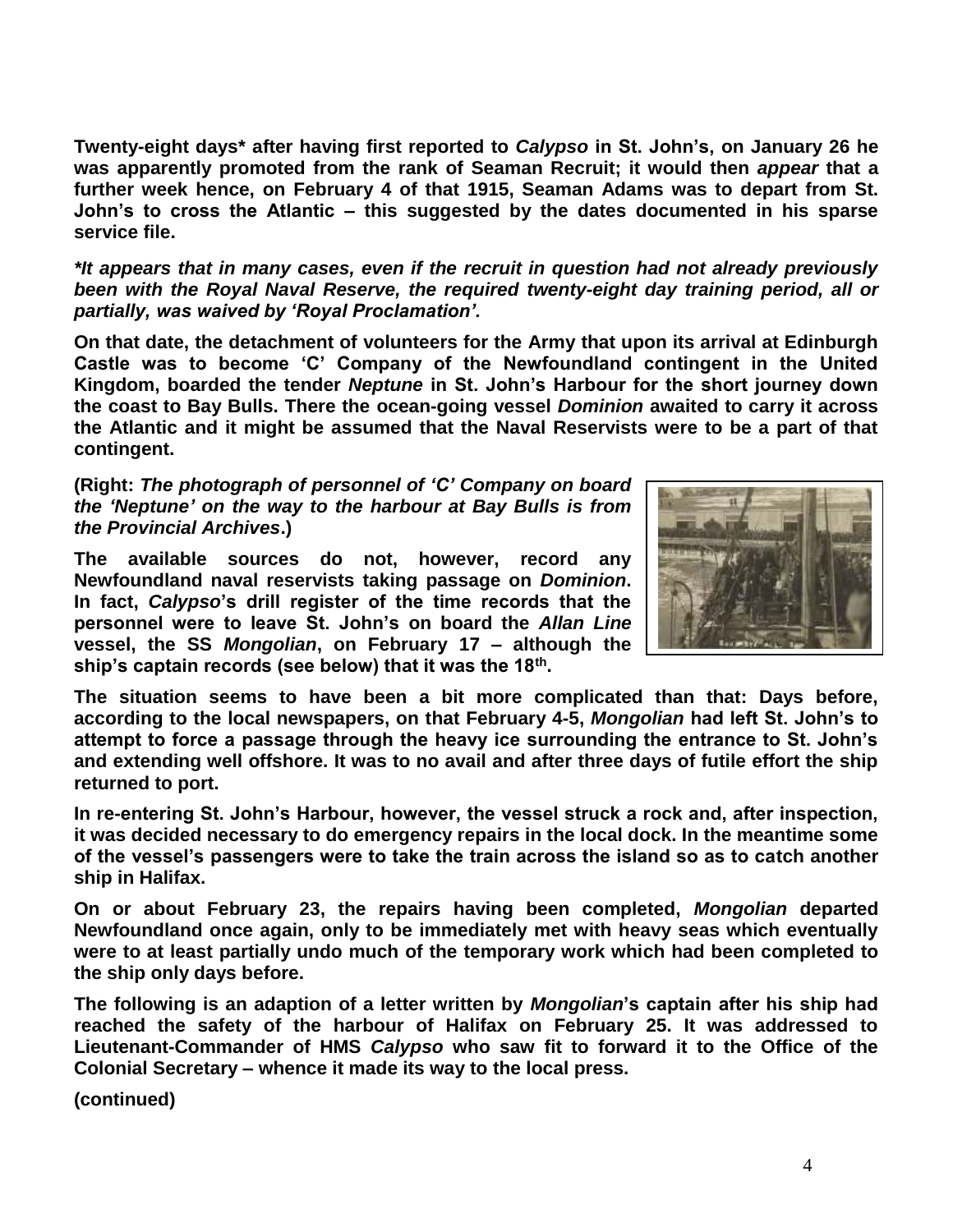**Twenty-eight days\* after having first reported to** *Calypso* **in St. John's, on January 26 he was apparently promoted from the rank of Seaman Recruit; it would then** *appear* **that a further week hence, on February 4 of that 1915, Seaman Adams was to depart from St. John's to cross the Atlantic – this suggested by the dates documented in his sparse service file.**

*\*It appears that in many cases, even if the recruit in question had not already previously been with the Royal Naval Reserve, the required twenty-eight day training period, all or partially, was waived by 'Royal Proclamation'.*

**On that date, the detachment of volunteers for the Army that upon its arrival at Edinburgh Castle was to become 'C' Company of the Newfoundland contingent in the United Kingdom, boarded the tender** *Neptune* **in St. John's Harbour for the short journey down the coast to Bay Bulls. There the ocean-going vessel** *Dominion* **awaited to carry it across the Atlantic and it might be assumed that the Naval Reservists were to be a part of that contingent.** 

**(Right:** *The photograph of personnel of 'C' Company on board the 'Neptune' on the way to the harbour at Bay Bulls is from the Provincial Archives***.)**

**The available sources do not, however, record any Newfoundland naval reservists taking passage on** *Dominion***. In fact,** *Calypso***'s drill register of the time records that the personnel were to leave St. John's on board the** *Allan Line* **vessel, the SS** *Mongolian***, on February 17 – although the ship's captain records (see below) that it was the 18th .**



**The situation seems to have been a bit more complicated than that: Days before, according to the local newspapers, on that February 4-5,** *Mongolian* **had left St. John's to attempt to force a passage through the heavy ice surrounding the entrance to St. John's and extending well offshore. It was to no avail and after three days of futile effort the ship returned to port.**

**In re-entering St. John's Harbour, however, the vessel struck a rock and, after inspection, it was decided necessary to do emergency repairs in the local dock. In the meantime some of the vessel's passengers were to take the train across the island so as to catch another ship in Halifax.** 

**On or about February 23, the repairs having been completed,** *Mongolian* **departed Newfoundland once again, only to be immediately met with heavy seas which eventually were to at least partially undo much of the temporary work which had been completed to the ship only days before.**

**The following is an adaption of a letter written by** *Mongolian***'s captain after his ship had reached the safety of the harbour of Halifax on February 25. It was addressed to Lieutenant-Commander of HMS** *Calypso* **who saw fit to forward it to the Office of the Colonial Secretary – whence it made its way to the local press.**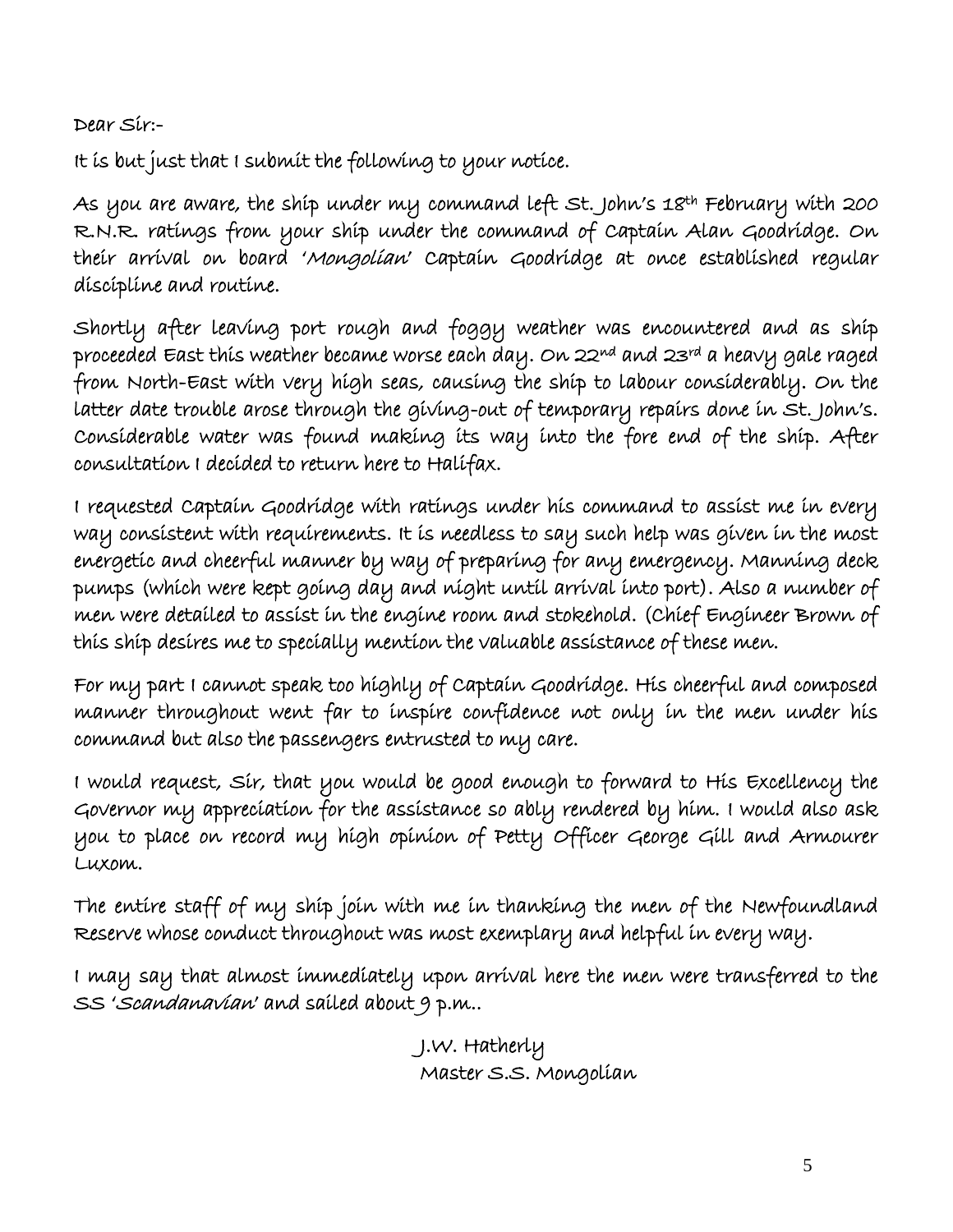Dear Sir:-

It is but just that I submit the following to your notice.

As you are aware, the ship under my command left St. John's 18<sup>th</sup> February with 200 R.N.R. ratings from your ship under the command of Captain Alan Goodridge. On their arrival on board 'Mongolian' Captain Goodridge at once established regular discipline and routine.

Shortly after leaving port rough and foggy weather was encountered and as ship proceeded East this weather became worse each day. On 22nd and 23rd a heavy gale raged from North-East with very high seas, causing the ship to labour considerably. On the latter date trouble arose through the giving-out of temporary repairs done in St. John's. Considerable water was found making its way into the fore end of the ship. After consultation I decided to return here to Halifax.

I requested Captain Goodridge with ratings under his command to assist me in every way consistent with requirements. It is needless to say such help was given in the most energetic and cheerful manner by way of preparing for any emergency. Manning deck pumps (which were kept going day and night until arrival into port). Also a number of men were detailed to assist in the engine room and stokehold. (Chief Engineer Brown of this ship desires me to specially mention the valuable assistance of these men.

For my part I cannot speak too highly of Captain Goodridge. His cheerful and composed manner throughout went far to inspire confidence not only in the men under his command but also the passengers entrusted to my care.

I would request, Sir, that you would be good enough to forward to His Excellency the Governor my appreciation for the assistance so ably rendered by him. I would also ask you to place on record my high opinion of Petty Officer George Gill and Armourer Luxom.

The entire staff of my ship join with me in thanking the men of the Newfoundland Reserve whose conduct throughout was most exemplary and helpful in every way.

I may say that almost immediately upon arrival here the men were transferred to the SS 'Scandanavian' and sailed about 9 p.m..

> J.W. Hatherly Master S.S. Mongolian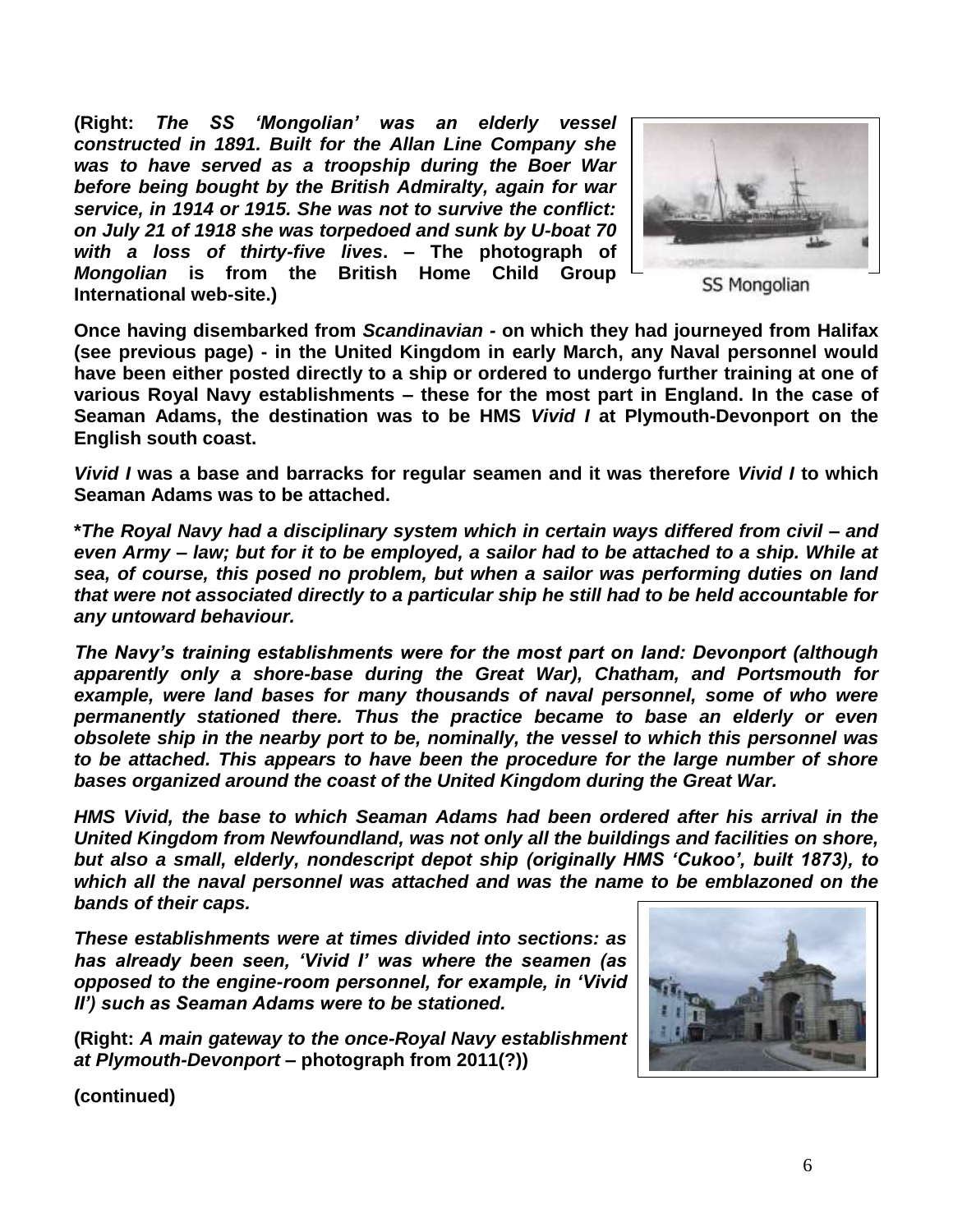**(Right:** *The SS 'Mongolian' was an elderly vessel constructed in 1891. Built for the Allan Line Company she was to have served as a troopship during the Boer War before being bought by the British Admiralty, again for war service, in 1914 or 1915. She was not to survive the conflict: on July 21 of 1918 she was torpedoed and sunk by U-boat 70 with a loss of thirty-five lives***. – The photograph of**  *Mongolian* **is from the British Home Child Group International web-site.)**



**SS Mongolian** 

**Once having disembarked from** *Scandinavian -* **on which they had journeyed from Halifax (see previous page) - in the United Kingdom in early March, any Naval personnel would have been either posted directly to a ship or ordered to undergo further training at one of various Royal Navy establishments – these for the most part in England. In the case of Seaman Adams, the destination was to be HMS** *Vivid I* **at Plymouth-Devonport on the English south coast.**

*Vivid I* **was a base and barracks for regular seamen and it was therefore** *Vivid I* **to which Seaman Adams was to be attached.**

**\****The Royal Navy had a disciplinary system which in certain ways differed from civil – and even Army – law; but for it to be employed, a sailor had to be attached to a ship. While at sea, of course, this posed no problem, but when a sailor was performing duties on land that were not associated directly to a particular ship he still had to be held accountable for any untoward behaviour.*

*The Navy's training establishments were for the most part on land: Devonport (although apparently only a shore-base during the Great War), Chatham, and Portsmouth for*  example, were land bases for many thousands of naval personnel, some of who were *permanently stationed there. Thus the practice became to base an elderly or even obsolete ship in the nearby port to be, nominally, the vessel to which this personnel was to be attached. This appears to have been the procedure for the large number of shore bases organized around the coast of the United Kingdom during the Great War.*

*HMS Vivid, the base to which Seaman Adams had been ordered after his arrival in the United Kingdom from Newfoundland, was not only all the buildings and facilities on shore, but also a small, elderly, nondescript depot ship (originally HMS 'Cukoo', built 1873), to which all the naval personnel was attached and was the name to be emblazoned on the bands of their caps.*

*These establishments were at times divided into sections: as has already been seen, 'Vivid I' was where the seamen (as opposed to the engine-room personnel, for example, in 'Vivid II') such as Seaman Adams were to be stationed.*

**(Right:** *A main gateway to the once-Royal Navy establishment at Plymouth-Devonport* **– photograph from 2011(?))**

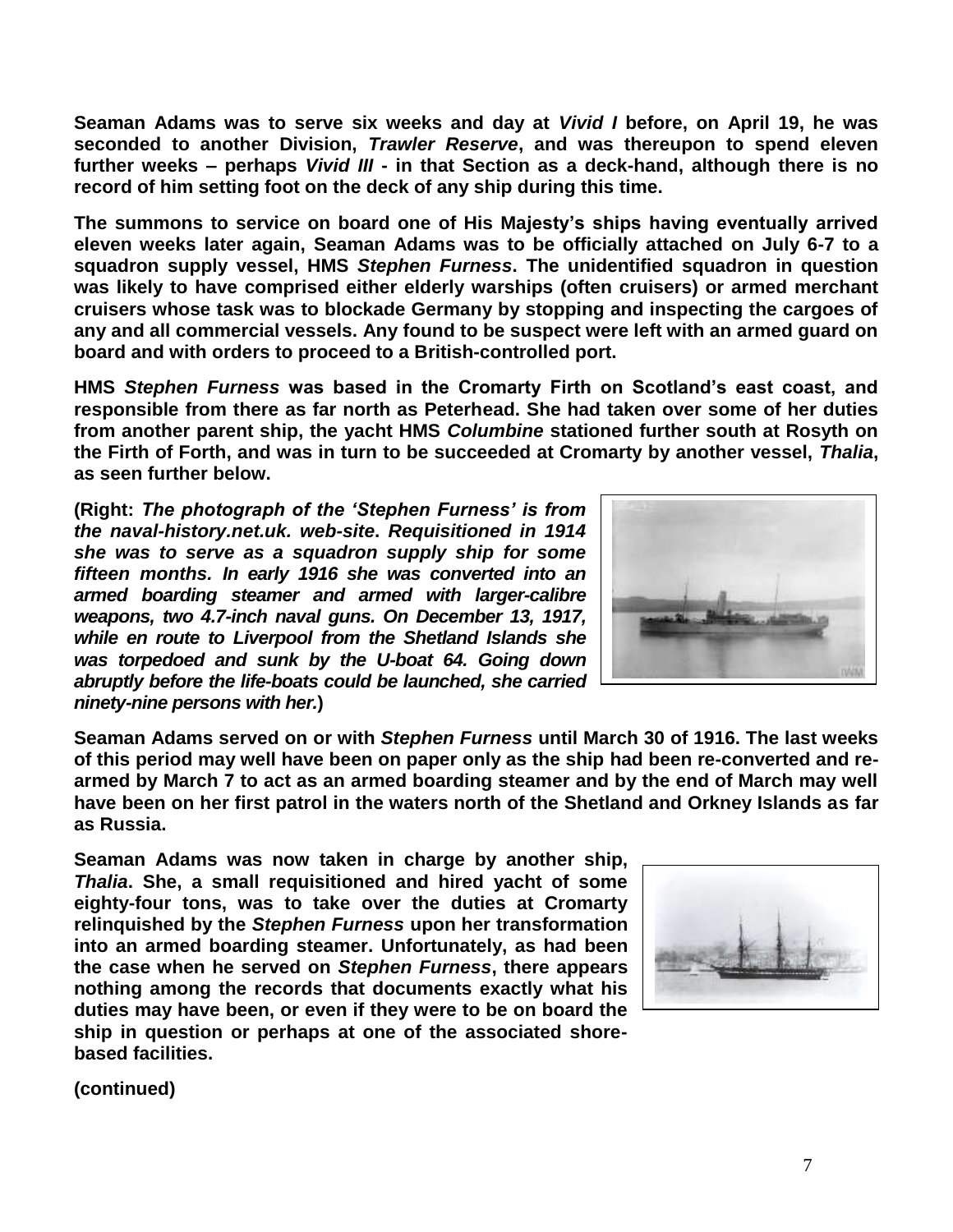**Seaman Adams was to serve six weeks and day at** *Vivid I* **before, on April 19, he was seconded to another Division,** *Trawler Reserve***, and was thereupon to spend eleven further weeks – perhaps** *Vivid III* **- in that Section as a deck-hand, although there is no record of him setting foot on the deck of any ship during this time.**

**The summons to service on board one of His Majesty's ships having eventually arrived eleven weeks later again, Seaman Adams was to be officially attached on July 6-7 to a squadron supply vessel, HMS** *Stephen Furness***. The unidentified squadron in question was likely to have comprised either elderly warships (often cruisers) or armed merchant cruisers whose task was to blockade Germany by stopping and inspecting the cargoes of any and all commercial vessels. Any found to be suspect were left with an armed guard on board and with orders to proceed to a British-controlled port.**

**HMS** *Stephen Furness* **was based in the Cromarty Firth on Scotland's east coast, and responsible from there as far north as Peterhead. She had taken over some of her duties from another parent ship, the yacht HMS** *Columbine* **stationed further south at Rosyth on the Firth of Forth, and was in turn to be succeeded at Cromarty by another vessel,** *Thalia***, as seen further below.**

**(Right:** *The photograph of the 'Stephen Furness' is from the naval-history.net.uk. web-site***.** *Requisitioned in 1914 she was to serve as a squadron supply ship for some fifteen months. In early 1916 she was converted into an armed boarding steamer and armed with larger-calibre weapons, two 4.7-inch naval guns. On December 13, 1917, while en route to Liverpool from the Shetland Islands she was torpedoed and sunk by the U-boat 64. Going down abruptly before the life-boats could be launched, she carried ninety-nine persons with her.***)**



**Seaman Adams served on or with** *Stephen Furness* **until March 30 of 1916. The last weeks of this period may well have been on paper only as the ship had been re-converted and rearmed by March 7 to act as an armed boarding steamer and by the end of March may well have been on her first patrol in the waters north of the Shetland and Orkney Islands as far as Russia.** 

**Seaman Adams was now taken in charge by another ship,**  *Thalia***. She, a small requisitioned and hired yacht of some eighty-four tons, was to take over the duties at Cromarty relinquished by the** *Stephen Furness* **upon her transformation into an armed boarding steamer. Unfortunately, as had been the case when he served on** *Stephen Furness***, there appears nothing among the records that documents exactly what his duties may have been, or even if they were to be on board the ship in question or perhaps at one of the associated shorebased facilities.**

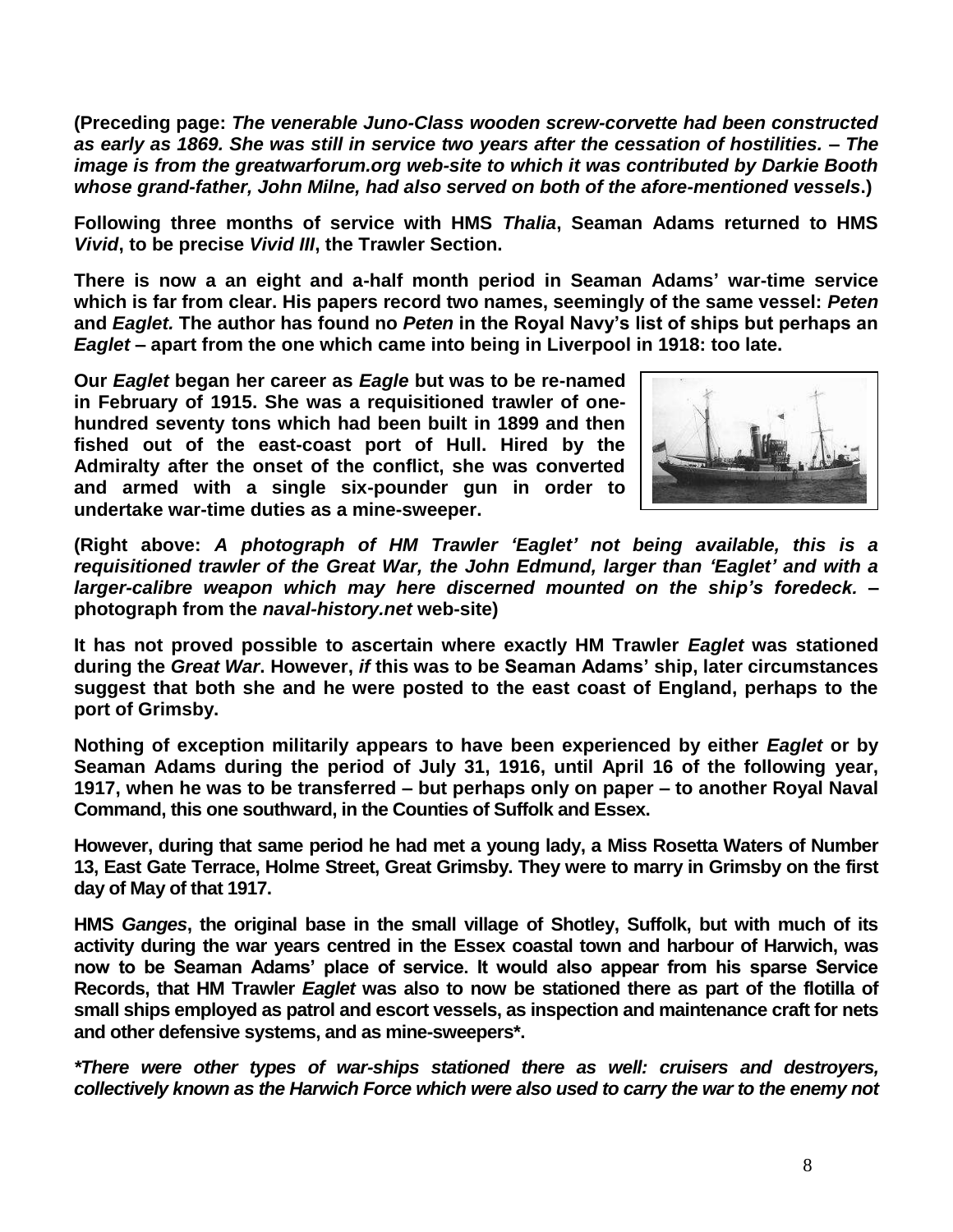**(Preceding page:** *The venerable Juno-Class wooden screw-corvette had been constructed as early as 1869. She was still in service two years after the cessation of hostilities.* **–** *The image is from the greatwarforum.org web-site to which it was contributed by Darkie Booth whose grand-father, John Milne, had also served on both of the afore-mentioned vessels***.)**

**Following three months of service with HMS** *Thalia***, Seaman Adams returned to HMS**  *Vivid***, to be precise** *Vivid III***, the Trawler Section.**

**There is now a an eight and a-half month period in Seaman Adams' war-time service which is far from clear. His papers record two names, seemingly of the same vessel:** *Peten* **and** *Eaglet.* **The author has found no** *Peten* **in the Royal Navy's list of ships but perhaps an**  *Eaglet* **– apart from the one which came into being in Liverpool in 1918: too late.**

**Our** *Eaglet* **began her career as** *Eagle* **but was to be re-named in February of 1915. She was a requisitioned trawler of onehundred seventy tons which had been built in 1899 and then fished out of the east-coast port of Hull. Hired by the Admiralty after the onset of the conflict, she was converted and armed with a single six-pounder gun in order to undertake war-time duties as a mine-sweeper.**



**(Right above:** *A photograph of HM Trawler 'Eaglet' not being available, this is a requisitioned trawler of the Great War, the John Edmund, larger than 'Eaglet' and with a larger-calibre weapon which may here discerned mounted on the ship's foredeck.* **– photograph from the** *naval-history.net* **web-site)**

**It has not proved possible to ascertain where exactly HM Trawler** *Eaglet* **was stationed during the** *Great War***. However,** *if* **this was to be Seaman Adams' ship, later circumstances suggest that both she and he were posted to the east coast of England, perhaps to the port of Grimsby.**

**Nothing of exception militarily appears to have been experienced by either** *Eaglet* **or by Seaman Adams during the period of July 31, 1916, until April 16 of the following year, 1917, when he was to be transferred – but perhaps only on paper – to another Royal Naval Command, this one southward, in the Counties of Suffolk and Essex.**

**However, during that same period he had met a young lady, a Miss Rosetta Waters of Number 13, East Gate Terrace, Holme Street, Great Grimsby. They were to marry in Grimsby on the first day of May of that 1917.**

**HMS** *Ganges***, the original base in the small village of Shotley, Suffolk, but with much of its activity during the war years centred in the Essex coastal town and harbour of Harwich, was now to be Seaman Adams' place of service. It would also appear from his sparse Service Records, that HM Trawler** *Eaglet* **was also to now be stationed there as part of the flotilla of small ships employed as patrol and escort vessels, as inspection and maintenance craft for nets and other defensive systems, and as mine-sweepers\*.**

*\*There were other types of war-ships stationed there as well: cruisers and destroyers, collectively known as the Harwich Force which were also used to carry the war to the enemy not*